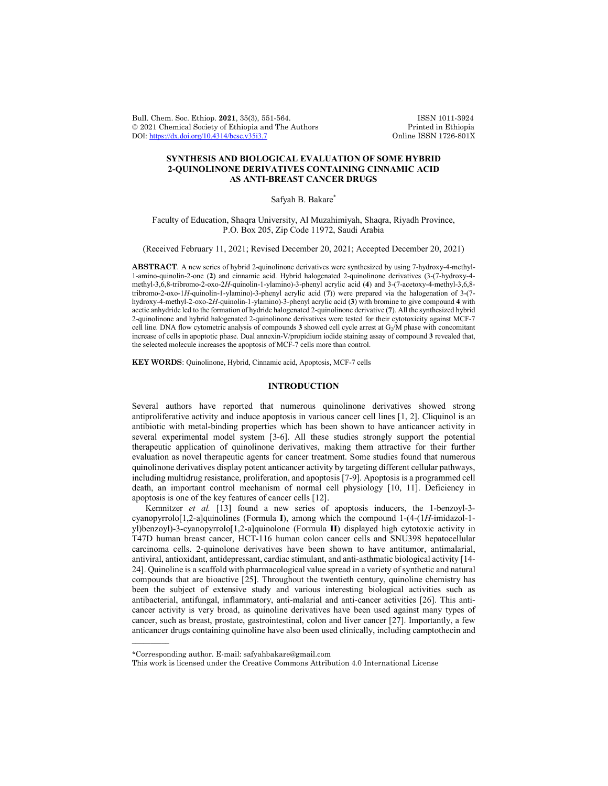Bull. Chem. Soc. Ethiop. 2021, 35(3), 551-564. ISSN 1011-3924<br>
© 2021 Chemical Society of Ethiopia and The Authors Printed in Ethiopia © 2021 Chemical Society of Ethiopia and The Authors Printed in Ethiopia DOI: https://dx.doi.org/10.4314/bcse.v35i3.7 Online ISSN 1726-801X DOI: https://dx.doi.org/10.4314/bcse.v35i3.7

# **SYNTHESIS AND BIOLOGICAL EVALUATION OF SOME HYBRID 2-QUINOLINONE DERIVATIVES CONTAINING CINNAMIC ACID AS ANTI-BREAST CANCER DRUGS**

Safyah B. Bakare\*

Faculty of Education, Shaqra University, Al Muzahimiyah, Shaqra, Riyadh Province, P.O. Box 205, Zip Code 11972, Saudi Arabia

(Received February 11, 2021; Revised December 20, 2021; Accepted December 20, 2021)

**ABSTRACT**. A new series of hybrid 2-quinolinone derivatives were synthesized by using 7-hydroxy-4-methyl-1-amino-quinolin-2-one (**2**) and cinnamic acid. Hybrid halogenated 2-quinolinone derivatives (3-(7-hydroxy-4 methyl-3,6,8-tribromo-2-oxo-2*H*-quinolin-1-ylamino)-3-phenyl acrylic acid (**4**) and 3-(7-acetoxy-4-methyl-3,6,8 tribromo-2-oxo-1*H*-quinolin-1-ylamino)-3-phenyl acrylic acid (**7**)) were prepared via the halogenation of 3-(7 hydroxy-4-methyl-2-oxo-2*H*-quinolin-1-ylamino)-3-phenyl acrylic acid (**3**) with bromine to give compound **4** with acetic anhydride led to the formation of hydride halogenated 2-quinolinone derivative (**7**). All the synthesized hybrid 2-quinolinone and hybrid halogenated 2-quinolinone derivatives were tested for their cytotoxicity against MCF-7 cell line. DNA flow cytometric analysis of compounds **3** showed cell cycle arrest at G2/M phase with concomitant increase of cells in apoptotic phase. Dual annexin-V/propidium iodide staining assay of compound **3** revealed that, the selected molecule increases the apoptosis of MCF-7 cells more than control.

**KEY WORDS**: Quinolinone, Hybrid, Cinnamic acid, Apoptosis, MCF-7 cells

## **INTRODUCTION**

Several authors have reported that numerous quinolinone derivatives showed strong antiproliferative activity and induce apoptosis in various cancer cell lines [1, 2]. Cliquinol is an antibiotic with metal-binding properties which has been shown to have anticancer activity in several experimental model system [3-6]. All these studies strongly support the potential therapeutic application of quinolinone derivatives, making them attractive for their further evaluation as novel therapeutic agents for cancer treatment. Some studies found that numerous quinolinone derivatives display potent anticancer activity by targeting different cellular pathways, including multidrug resistance, proliferation, and apoptosis [7-9]. Apoptosis is a programmed cell death, an important control mechanism of normal cell physiology [10, 11]. Deficiency in apoptosis is one of the key features of cancer cells [12].

Kemnitzer *et al.* [13] found a new series of apoptosis inducers, the 1-benzoyl-3 cyanopyrrolo[1,2-a]quinolines (Formula **I**), among which the compound 1-(4-(1*H*-imidazol-1 yl)benzoyl)-3-cyanopyrrolo[1,2-a]quinolone (Formula **II**) displayed high cytotoxic activity in T47D human breast cancer, HCT-116 human colon cancer cells and SNU398 hepatocellular carcinoma cells. 2-quinolone derivatives have been shown to have antitumor, antimalarial, antiviral, antioxidant, antidepressant, cardiac stimulant, and anti-asthmatic biological activity [14- 24]. Quinoline is a scaffold with pharmacological value spread in a variety of synthetic and natural compounds that are bioactive [25]. Throughout the twentieth century, quinoline chemistry has been the subject of extensive study and various interesting biological activities such as antibacterial, antifungal, inflammatory, anti-malarial and anti-cancer activities [26]. This anticancer activity is very broad, as quinoline derivatives have been used against many types of cancer, such as breast, prostate, gastrointestinal, colon and liver cancer [27]. Importantly, a few anticancer drugs containing quinoline have also been used clinically, including camptothecin and

 $\overline{\phantom{a}}$ 

<sup>\*</sup>Corresponding author. E-mail: safyahbakare@gmail.com

This work is licensed under the Creative Commons Attribution 4.0 International License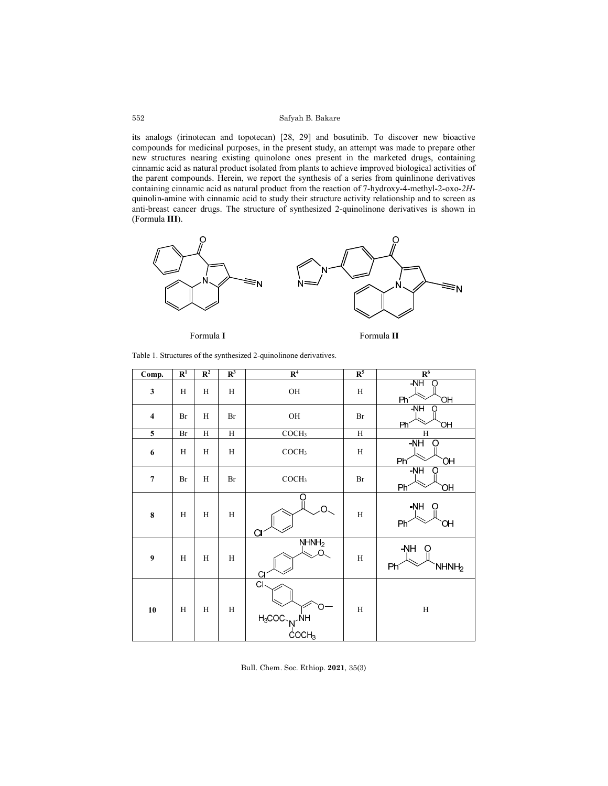its analogs (irinotecan and topotecan) [28, 29] and bosutinib. To discover new bioactive compounds for medicinal purposes, in the present study, an attempt was made to prepare other new structures nearing existing quinolone ones present in the marketed drugs, containing cinnamic acid as natural product isolated from plants to achieve improved biological activities of the parent compounds. Herein, we report the synthesis of a series from quinlinone derivatives containing cinnamic acid as natural product from the reaction of 7-hydroxy-4-methyl-2-oxo-*2H*quinolin-amine with cinnamic acid to study their structure activity relationship and to screen as anti-breast cancer drugs. The structure of synthesized 2-quinolinone derivatives is shown in (Formula **III**).



Formula **I** Formula **II**

Table 1. Structures of the synthesized 2-quinolinone derivatives.

| $\overline{\text{Comp.}}$ | $\overline{\mathbf{R}^1}$ | $\overline{\mathbb{R}^2}$ | $R^3$          | R <sup>4</sup>                                          | R <sup>5</sup> | R <sup>6</sup>                   |
|---------------------------|---------------------------|---------------------------|----------------|---------------------------------------------------------|----------------|----------------------------------|
| $\mathbf{3}$              | H                         | H                         | H              | $\rm OH$                                                | $\, {\rm H}$   | $-NH$<br>〔 〕<br>Phí<br>ЮĤ        |
| $\overline{\mathbf{4}}$   | Br                        | H                         | Br             | OH                                                      | Br             | $-MH$<br>Ω<br>Phi<br>ЮH          |
| $\mathbf 5$               | $\rm Br$                  | $\overline{H}$            | $\overline{H}$ | COCH <sub>3</sub>                                       | $\overline{H}$ | $\overline{H}$                   |
| $\bf 6$                   | $\rm H$                   | $\rm H$                   | $\rm H$        | COCH <sub>3</sub>                                       | $\rm H$        | $-NH$<br>Ω<br>Phi<br>ЮH          |
| $\overline{\mathcal{I}}$  | Br                        | H                         | Br             | COCH <sub>3</sub>                                       | Br             | $-NH$<br>O<br>Ph<br>ЮH           |
| $\bf 8$                   | $\rm H$                   | $\rm H$                   | $\rm H$        | C                                                       | $\rm H$        | -NH<br>O<br>Ph<br>Юí             |
| $\boldsymbol{9}$          | H                         | H                         | $\, {\rm H}$   | NHMH <sub>2</sub><br>C                                  | H              | $-NH$<br>NHNH <sub>2</sub><br>Ph |
| ${\bf 10}$                | $\rm H$                   | $\rm H$                   | $\rm H$        | CI<br>$H_3COC \sim N \sim \frac{N}{C}$ OCH <sub>3</sub> | $\rm H$        | $\rm H$                          |

Bull. Chem. Soc. Ethiop. **2021**, 35(3)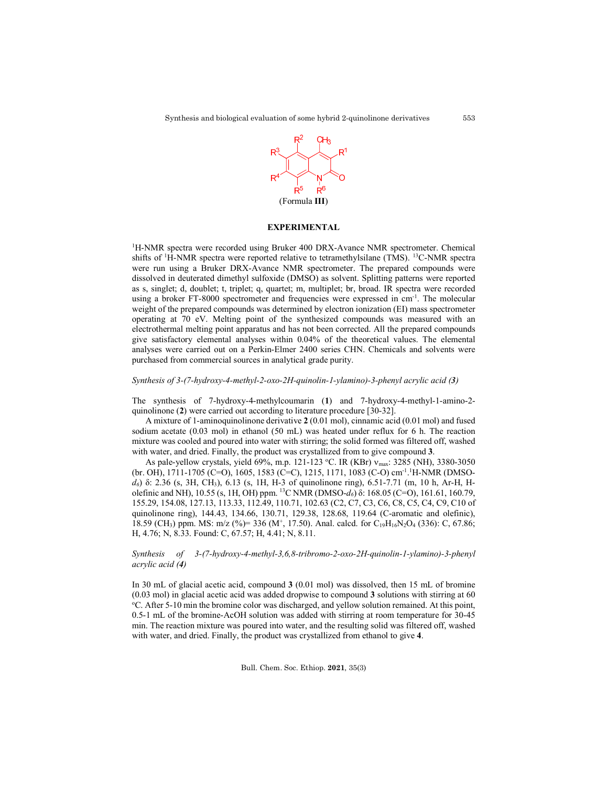

### **EXPERIMENTAL**

<sup>1</sup>H-NMR spectra were recorded using Bruker 400 DRX-Avance NMR spectrometer. Chemical shifts of <sup>1</sup>H-NMR spectra were reported relative to tetramethylsilane (TMS). <sup>13</sup>C-NMR spectra were run using a Bruker DRX-Avance NMR spectrometer. The prepared compounds were dissolved in deuterated dimethyl sulfoxide (DMSO) as solvent. Splitting patterns were reported as s, singlet; d, doublet; t, triplet; q, quartet; m, multiplet; br, broad. IR spectra were recorded using a broker FT-8000 spectrometer and frequencies were expressed in cm<sup>-1</sup>. The molecular weight of the prepared compounds was determined by electron ionization (EI) mass spectrometer operating at 70 eV. Melting point of the synthesized compounds was measured with an electrothermal melting point apparatus and has not been corrected. All the prepared compounds give satisfactory elemental analyses within 0.04% of the theoretical values. The elemental analyses were carried out on a Perkin-Elmer 2400 series CHN. Chemicals and solvents were purchased from commercial sources in analytical grade purity.

### *Synthesis of 3-(7-hydroxy-4-methyl-2-oxo-2H-quinolin-1-ylamino)-3-phenyl acrylic acid (3)*

The synthesis of 7-hydroxy-4-methylcoumarin (**1**) and 7-hydroxy-4-methyl-1-amino-2 quinolinone (**2**) were carried out according to literature procedure [30-32].

A mixture of 1-aminoquinolinone derivative **2** (0.01 mol), cinnamic acid (0.01 mol) and fused sodium acetate (0.03 mol) in ethanol (50 mL) was heated under reflux for 6 h. The reaction mixture was cooled and poured into water with stirring; the solid formed was filtered off, washed with water, and dried. Finally, the product was crystallized from to give compound **3**.

As pale-yellow crystals, yield 69%, m.p. 121-123 °C. IR (KBr) v<sub>max</sub>: 3285 (NH), 3380-3050 (br. OH), 1711-1705 (C=O), 1605, 1583 (C=C), 1215, 1171, 1083 (C-O) cm<sup>-1</sup>.<sup>1</sup>H-NMR (DMSO*d6*) δ: 2.36 (s, 3H, CH3), 6.13 (s, 1H, H-3 of quinolinone ring), 6.51-7.71 (m, 10 h, Ar-H, Holefinic and NH), 10.55 (s, 1H, OH) ppm. 13C NMR (DMSO-*d6*) δ: 168.05 (C=O), 161.61, 160.79, 155.29, 154.08, 127.13, 113.33, 112.49, 110.71, 102.63 (C2, C7, C3, C6, C8, C5, C4, C9, C10 of quinolinone ring), 144.43, 134.66, 130.71, 129.38, 128.68, 119.64 (C-aromatic and olefinic), 18.59 (CH<sub>3</sub>) ppm. MS: m/z (%)= 336 (M<sup>+</sup>, 17.50). Anal. calcd. for C<sub>19</sub>H<sub>16</sub>N<sub>2</sub>O<sub>4</sub> (336): C, 67.86; H, 4.76; N, 8.33. Found: C, 67.57; H, 4.41; N, 8.11.

# *Synthesis of 3-(7-hydroxy-4-methyl-3,6,8-tribromo-2-oxo-2H-quinolin-1-ylamino)-3-phenyl acrylic acid (4)*

In 30 mL of glacial acetic acid, compound **3** (0.01 mol) was dissolved, then 15 mL of bromine (0.03 mol) in glacial acetic acid was added dropwise to compound **<sup>3</sup>** solutions with stirring at 60 o <sup>o</sup>C. After 5-10 min the bromine color was discharged, and yellow solution remained. At this point, 0.5-1 mL of the bromine-AcOH solution was added with stirring at room temperature for 30-45 min. The reaction mixture was poured into water, and the resulting solid was filtered off, washed with water, and dried. Finally, the product was crystallized from ethanol to give **4**.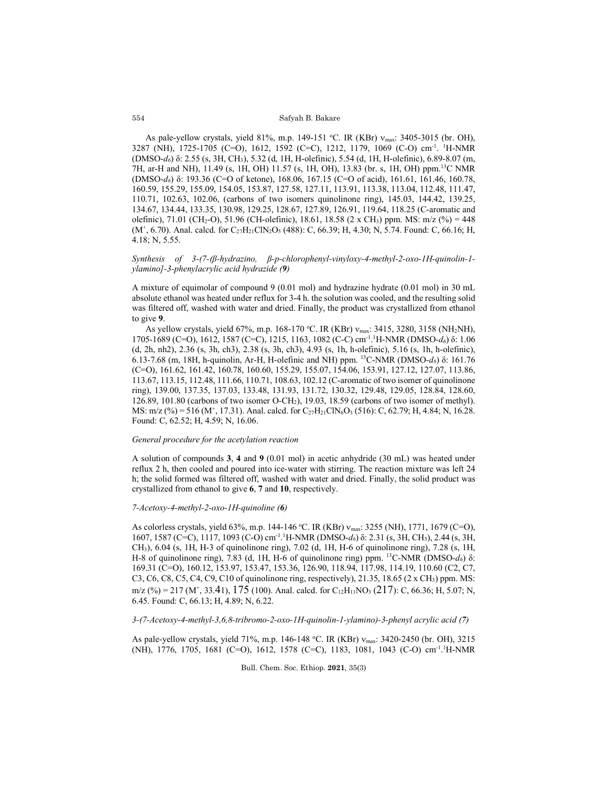As pale-yellow crystals, yield 81%, m.p. 149-151 °C. IR (KBr) v<sub>max</sub>: 3405-3015 (br. OH), 3287 (NH), 1725-1705 (C=O), 1612, 1592 (C=C), 1212, 1179, 1069 (C-O) cm-1 . 1 H-NMR (DMSO-*d6*) δ: 2.55 (s, 3H, CH3), 5.32 (d, 1H, H-olefinic), 5.54 (d, 1H, H-olefinic), 6.89-8.07 (m, 7H, ar-H and NH), 11.49 (s, 1H, OH) 11.57 (s, 1H, OH), 13.83 (br. s, 1H, OH) ppm.13C NMR (DMSO-*d6*) δ: 193.36 (C=O of ketone), 168.06, 167.15 (C=O of acid), 161.61, 161.46, 160.78, 160.59, 155.29, 155.09, 154.05, 153.87, 127.58, 127.11, 113.91, 113.38, 113.04, 112.48, 111.47, 110.71, 102.63, 102.06, (carbons of two isomers quinolinone ring), 145.03, 144.42, 139.25, 134.67, 134.44, 133.35, 130.98, 129.25, 128.67, 127.89, 126.91, 119.64, 118.25 (C-aromatic and olefinic), 71.01 (CH<sub>2</sub>-O), 51.96 (CH-olefinic), 18.61, 18.58 (2 x CH<sub>3</sub>) ppm. MS: m/z (%) = 448  $(M^+, 6.70)$ . Anal. calcd. for  $C_{27}H_{21}CIN_2O_5$  (488): C, 66.39; H, 4.30; N, 5.74. Found: C, 66.16; H, 4.18; N, 5.55.

*Synthesis of 3-(7-(β-hydrazino, β-p-chlorophenyl-vinyloxy-4-methyl-2-oxo-1H-quinolin-1 ylamino]-3-phenylacrylic acid hydrazide (9)*

A mixture of equimolar of compound 9 (0.01 mol) and hydrazine hydrate (0.01 mol) in 30 mL absolute ethanol was heated under reflux for 3-4 h. the solution was cooled, and the resulting solid was filtered off, washed with water and dried. Finally, the product was crystallized from ethanol to give **9**.

As yellow crystals, yield 67%, m.p. 168-170 °C. IR (KBr) v<sub>max</sub>: 3415, 3280, 3158 (NH<sub>2</sub>NH), 1705-1689 (C=O), 1612, 1587 (C=C), 1215, 1163, 1082 (C-C) cm-1 . 1 H-NMR (DMSO-*d6*) δ: 1.06 (d, 2h, nh2), 2.36 (s, 3h, ch3), 2.38 (s, 3h, ch3), 4.93 (s, 1h, h-olefinic), 5.16 (s, 1h, h-olefinic), 6.13-7.68 (m, 18H, h-quinolin, Ar-H, H-olefinic and NH) ppm. 13C-NMR (DMSO-*d6*) δ: 161.76 (C=O), 161.62, 161.42, 160.78, 160.60, 155.29, 155.07, 154.06, 153.91, 127.12, 127.07, 113.86, 113.67, 113.15, 112.48, 111.66, 110.71, 108.63, 102.12 (C-aromatic of two isomer of quinolinone ring), 139.00, 137.35, 137.03, 133.48, 131.93, 131.72, 130.32, 129.48, 129.05, 128.84, 128.60, 126.89, 101.80 (carbons of two isomer O-CH2), 19.03, 18.59 (carbons of two isomer of methyl). MS: m/z (%) = 516 (M<sup>+</sup>, 17.31). Anal. calcd. for C<sub>27</sub>H<sub>21</sub>ClN<sub>6</sub>O<sub>3</sub> (516): C, 62.79; H, 4.84; N, 16.28. Found: C, 62.52; H, 4.59; N, 16.06.

### *General procedure for the acetylation reaction*

A solution of compounds **3**, **4** and **9** (0.01 mol) in acetic anhydride (30 mL) was heated under reflux 2 h, then cooled and poured into ice-water with stirring. The reaction mixture was left 24 h; the solid formed was filtered off, washed with water and dried. Finally, the solid product was crystallized from ethanol to give **6**, **7** and **10**, respectively.

### *7-Acetoxy-4-methyl-2-oxo-1H-quinoline (6)*

As colorless crystals, yield 63%, m.p. 144-146 °C. IR (KBr) v<sub>max</sub>: 3255 (NH), 1771, 1679 (C=O), 1607, 1587 (C=C), 1117, 1093 (C-O) cm-1 . 1 H-NMR (DMSO-*d6*) δ: 2.31 (s, 3H, CH3), 2.44 (s, 3H, CH3), 6.04 (s, 1H, H-3 of quinolinone ring), 7.02 (d, 1H, H-6 of quinolinone ring), 7.28 (s, 1H, H-8 of quinolinone ring), 7.83 (d, 1H, H-6 of quinolinone ring) ppm. 13C-NMR (DMSO-*d6*) δ: 169.31 (C=O), 160.12, 153.97, 153.47, 153.36, 126.90, 118.94, 117.98, 114.19, 110.60 (C2, C7, C3, C6, C8, C5, C4, C9, C10 of quinolinone ring, respectively), 21.35, 18.65 ( $2 \times CH_3$ ) ppm. MS:  $m/z$  (%) = 217 (M<sup>+</sup>, 33.41), 175 (100). Anal. calcd. for C<sub>12</sub>H<sub>11</sub>NO<sub>3</sub> (217): C, 66.36; H, 5.07; N, 6.45. Found: C, 66.13; H, 4.89; N, 6.22.

### *3-(7-Acetoxy-4-methyl-3,6,8-tribromo-2-oxo-1H-quinolin-1-ylamino)-3-phenyl acrylic acid (7)*

As pale-yellow crystals, yield 71%, m.p. 146-148 °C. IR (KBr) v<sub>max</sub>: 3420-2450 (br. OH), 3215 (NH), 1776, 1705, 1681 (C=O), 1612, 1578 (C=C), 1183, 1081, 1043 (C-O) cm<sup>-1</sup>.<sup>1</sup>H-NMR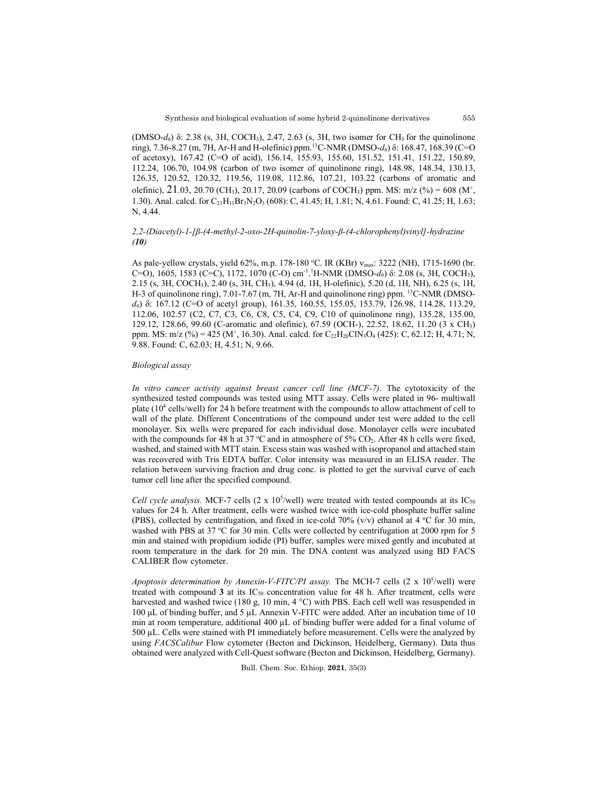(DMSO-*d*<sub>6</sub>) δ: 2.38 (s, 3H, COCH<sub>3</sub>), 2.47, 2.63 (s, 3H, two isomer for CH<sub>3</sub> for the quinolinone ring), 7.36-8.27 (m, 7H, Ar-H and H-olefinic) ppm.13C-NMR (DMSO-*d6*) δ: 168.47, 168.39 (C=O of acetoxy), 167.42 (C=O of acid), 156.14, 155.93, 155.60, 151.52, 151.41, 151.22, 150.89, 112.24, 106.70, 104.98 (carbon of two isomer of quinolinone ring), 148.98, 148.34, 130.13, 126.35, 120.52, 120.32, 119.56, 119.08, 112.86, 107.21, 103.22 (carbons of aromatic and olefinic),  $21.03$ ,  $20.70$  (CH<sub>3</sub>),  $20.17$ ,  $20.09$  (carbons of COCH<sub>3</sub>) ppm. MS: m/z (%) = 608 (M<sup>+</sup>, 1.30). Anal. calcd. for C<sub>21</sub>H<sub>11</sub>Br<sub>3</sub>N<sub>2</sub>O<sub>3</sub> (608): C, 41.45; H, 1.81; N, 4.61. Found: C, 41.25; H, 1.63; N, 4.44.

# *2,2-(Diacetyl)-1-[β-(4-methyl-2-oxo-2H-quinolin-7-yloxy-β-(4-chlorophenyl)vinyl]-hydrazine (10)*

As pale-yellow crystals, yield 62%, m.p. 178-180 °C. IR (KBr) v<sub>max</sub>: 3222 (NH), 1715-1690 (br. C=O), 1605, 1583 (C=C), 1172, 1070 (C-O) cm<sup>-1</sup>.<sup>1</sup>H-NMR (DMSO-d<sub>6</sub>) δ: 2.08 (s, 3H, COCH<sub>3</sub>), 2.15 (s, 3H, COCH3), 2.40 (s, 3H, CH3), 4.94 (d, 1H, H-olefinic), 5.20 (d, 1H, NH), 6.25 (s, 1H, H-3 of quinolinone ring), 7.01-7.67 (m, 7H, Ar-H and quinolinone ring) ppm. <sup>13</sup>C-NMR (DMSO*d6*) δ: 167.12 (C=O of acetyl group), 161.35, 160.55, 155.05, 153.79, 126.98, 114.28, 113.29, 112.06, 102.57 (C2, C7, C3, C6, C8, C5, C4, C9, C10 of quinolinone ring), 135.28, 135.00, 129.12, 128.66, 99.60 (C-aromatic and olefinic), 67.59 (OCH-), 22.52, 18.62, 11.20 (3 x CH3) ppm. MS: m/z (%) = 425 (M<sup>+</sup>, 16.30). Anal. calcd. for C<sub>22</sub>H<sub>20</sub>ClN<sub>3</sub>O<sub>4</sub> (425): C, 62.12; H, 4.71; N, 9.88. Found: C, 62.03; H, 4.51; N, 9.66.

# *Biological assay*

*In vitro cancer activity against breast cancer cell line (MCF-7)*. The cytotoxicity of the synthesized tested compounds was tested using MTT assay. Cells were plated in 96- multiwall plate (104 cells/well) for 24 h before treatment with the compounds to allow attachment of cell to wall of the plate. Different Concentrations of the compound under test were added to the cell monolayer. Six wells were prepared for each individual dose. Monolayer cells were incubated with the compounds for 48 h at 37 °C and in atmosphere of 5% CO<sub>2</sub>. After 48 h cells were fixed, washed, and stained with MTT stain. Excess stain was washed with isopropanol and attached stain was recovered with Tris EDTA buffer. Color intensity was measured in an ELISA reader. The relation between surviving fraction and drug conc. is plotted to get the survival curve of each tumor cell line after the specified compound.

Cell cycle analysis. MCF-7 cells  $(2 \times 10^5/\text{well})$  were treated with tested compounds at its IC<sub>50</sub> values for 24 h. After treatment, cells were washed twice with ice-cold phosphate buffer saline (PBS), collected by centrifugation, and fixed in ice-cold 70% (v/v) ethanol at 4 °C for 30 min, washed with PBS at 37 °C for 30 min. Cells were collected by centrifugation at 2000 rpm for 5 min and stained with propidium iodide (PI) buffer, samples were mixed gently and incubated at room temperature in the dark for 20 min. The DNA content was analyzed using BD FACS CALIBER flow cytometer.

Apoptosis determination by Annexin-V-FITC/PI assay. The MCH-7 cells (2 x 10<sup>5</sup>/well) were treated with compound **3** at its  $IC_{50}$  concentration value for 48 h. After treatment, cells were harvested and washed twice (180 g, 10 min,  $4^{\circ}$ C) with PBS. Each cell well was resuspended in 100 μL of binding buffer, and 5 µL Annexin V-FITC were added. After an incubation time of 10 min at room temperature, additional 400 µL of binding buffer were added for a final volume of 500 µL. Cells were stained with PI immediately before measurement. Cells were the analyzed by using *FACSCalibur* Flow cytometer (Becton and Dickinson, Heidelberg, Germany). Data thus obtained were analyzed with Cell-Quest software (Becton and Dickinson, Heidelberg, Germany).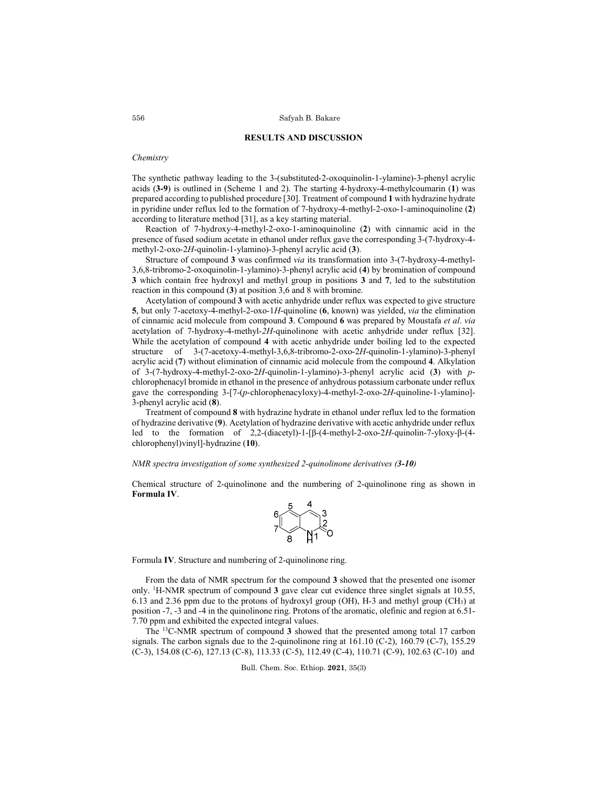### **RESULTS AND DISCUSSION**

# *Chemistry*

The synthetic pathway leading to the 3-(substituted-2-oxoquinolin-1-ylamine)-3-phenyl acrylic acids (**3-9**) is outlined in (Scheme 1 and 2). The starting 4-hydroxy-4-methylcoumarin (**1**) was prepared according to published procedure [30]. Treatment of compound **1** with hydrazine hydrate in pyridine under reflux led to the formation of 7-hydroxy-4-methyl-2-oxo-1-aminoquinoline (**2**) according to literature method [31], as a key starting material.

Reaction of 7-hydroxy-4-methyl-2-oxo-1-aminoquinoline (**2**) with cinnamic acid in the presence of fused sodium acetate in ethanol under reflux gave the corresponding 3-(7-hydroxy-4 methyl-2-oxo-2*H*-quinolin-1-ylamino)-3-phenyl acrylic acid (**3**).

Structure of compound **3** was confirmed *via* its transformation into 3-(7-hydroxy-4-methyl-3,6,8-tribromo-2-oxoquinolin-1-ylamino)-3-phenyl acrylic acid (**4**) by bromination of compound **3** which contain free hydroxyl and methyl group in positions **3** and **7**, led to the substitution reaction in this compound (**3**) at position 3,6 and 8 with bromine.

Acetylation of compound **3** with acetic anhydride under reflux was expected to give structure **5**, but only 7-acetoxy-4-methyl-2-oxo-1*H*-quinoline (**6**, known) was yielded, *via* the elimination of cinnamic acid molecule from compound **3**. Compound **6** was prepared by Moustafa *et al*. *via* acetylation of 7-hydroxy-4-methyl-*2H*-quinolinone with acetic anhydride under reflux [32]. While the acetylation of compound **4** with acetic anhydride under boiling led to the expected structure of 3-(7-acetoxy-4-methyl-3,6,8-tribromo-2-oxo-2*H*-quinolin-1-ylamino)-3-phenyl acrylic acid (**7**) without elimination of cinnamic acid molecule from the compound **4**. Alkylation of 3-(7-hydroxy-4-methyl-2-oxo-2*H*-quinolin-1-ylamino)-3-phenyl acrylic acid (**3**) with *p*chlorophenacyl bromide in ethanol in the presence of anhydrous potassium carbonate under reflux gave the corresponding 3-[7-(*p*-chlorophenacyloxy)-4-methyl-2-oxo-2*H*-quinoline-1-ylamino]- 3-phenyl acrylic acid (**8**).

Treatment of compound **8** with hydrazine hydrate in ethanol under reflux led to the formation of hydrazine derivative (**9**). Acetylation of hydrazine derivative with acetic anhydride under reflux led to the formation of 2,2-(diacetyl)-1-[β-(4-methyl-2-oxo-2*H*-quinolin-7-yloxy-β-(4 chlorophenyl)vinyl]-hydrazine (**10**).

### *NMR spectra investigation of some synthesized 2-quinolinone derivatives (3-10)*

Chemical structure of 2-quinolinone and the numbering of 2-quinolinone ring as shown in **Formula IV**.



Formula **IV**. Structure and numbering of 2-quinolinone ring.

From the data of NMR spectrum for the compound **3** showed that the presented one isomer only. 1 H-NMR spectrum of compound **3** gave clear cut evidence three singlet signals at 10.55, 6.13 and 2.36 ppm due to the protons of hydroxyl group (OH), H-3 and methyl group (CH3) at position -7, -3 and -4 in the quinolinone ring. Protons of the aromatic, olefinic and region at 6.51- 7.70 ppm and exhibited the expected integral values.

The 13C-NMR spectrum of compound **3** showed that the presented among total 17 carbon signals. The carbon signals due to the 2-quinolinone ring at  $161.10$  (C-2),  $160.79$  (C-7),  $155.29$ (C-3), 154.08 (C-6), 127.13 (C-8), 113.33 (C-5), 112.49 (C-4), 110.71 (C-9), 102.63 (C-10) and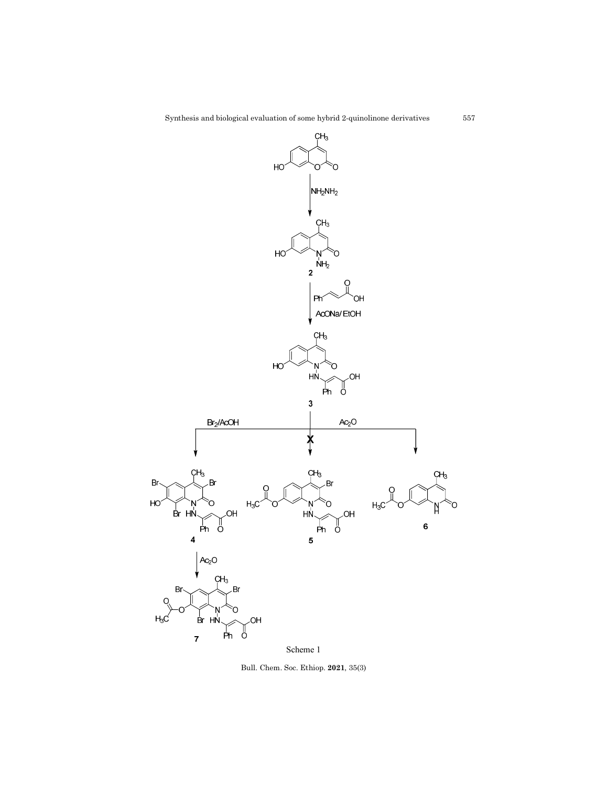

Scheme 1

Bull. Chem. Soc. Ethiop. **2021**, 35(3)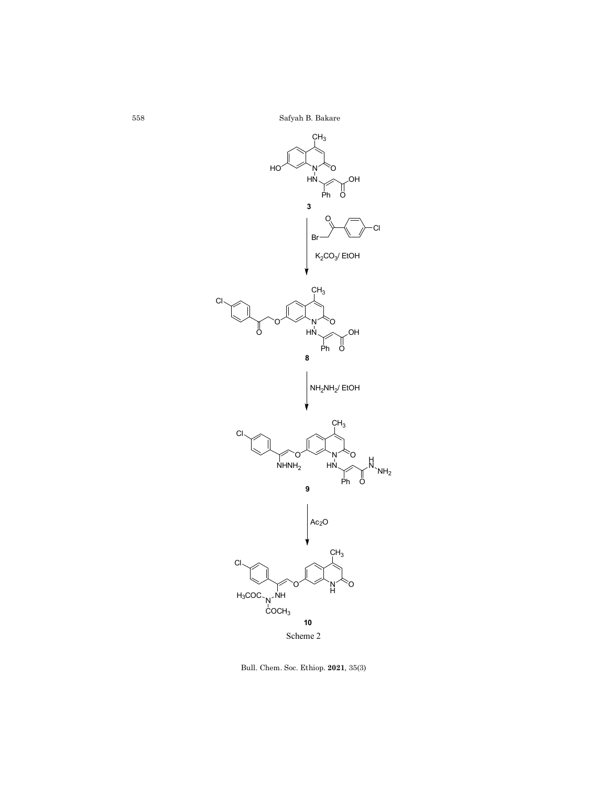Safyah B. Bakare



Bull. Chem. Soc. Ethiop. **2021**, 35(3)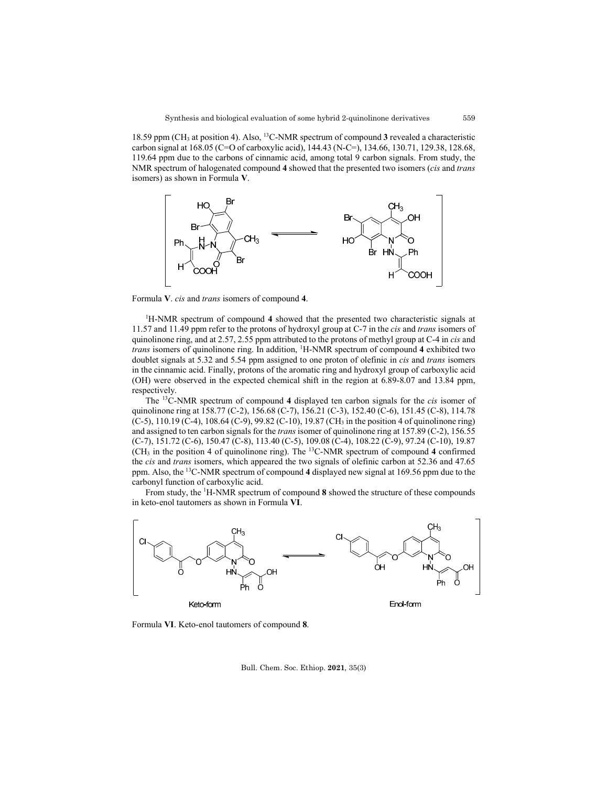18.59 ppm (CH3 at position 4). Also, 13C-NMR spectrum of compound **3** revealed a characteristic carbon signal at 168.05 (C=O of carboxylic acid), 144.43 (N-C=), 134.66, 130.71, 129.38, 128.68, 119.64 ppm due to the carbons of cinnamic acid, among total 9 carbon signals. From study, the NMR spectrum of halogenated compound **4** showed that the presented two isomers (*cis* and *trans* isomers) as shown in Formula **V**.



Formula **V**. *cis* and *trans* isomers of compound **4**.

<sup>1</sup>H-NMR spectrum of compound 4 showed that the presented two characteristic signals at 11.57 and 11.49 ppm refer to the protons of hydroxyl group at C-7 in the *cis* and *trans* isomers of quinolinone ring, and at 2.57, 2.55 ppm attributed to the protons of methyl group at C-4 in *cis* and *trans* isomers of quinolinone ring. In addition, 1 H-NMR spectrum of compound **4** exhibited two doublet signals at 5.32 and 5.54 ppm assigned to one proton of olefinic in *cis* and *trans* isomers in the cinnamic acid. Finally, protons of the aromatic ring and hydroxyl group of carboxylic acid (OH) were observed in the expected chemical shift in the region at 6.89-8.07 and 13.84 ppm, respectively.

The 13C-NMR spectrum of compound **4** displayed ten carbon signals for the *cis* isomer of quinolinone ring at 158.77 (C-2), 156.68 (C-7), 156.21 (C-3), 152.40 (C-6), 151.45 (C-8), 114.78 (C-5), 110.19 (C-4), 108.64 (C-9), 99.82 (C-10), 19.87 (CH3 in the position 4 of quinolinone ring) and assigned to ten carbon signals for the *trans* isomer of quinolinone ring at 157.89 (C-2), 156.55 (C-7), 151.72 (C-6), 150.47 (C-8), 113.40 (C-5), 109.08 (C-4), 108.22 (C-9), 97.24 (C-10), 19.87 (CH3 in the position 4 of quinolinone ring). The 13C-NMR spectrum of compound **4** confirmed the *cis* and *trans* isomers, which appeared the two signals of olefinic carbon at 52.36 and 47.65 ppm. Also, the 13C-NMR spectrum of compound **4** displayed new signal at 169.56 ppm due to the carbonyl function of carboxylic acid.

From study, the <sup>1</sup>H-NMR spectrum of compound 8 showed the structure of these compounds in keto-enol tautomers as shown in Formula **VI**.



Formula **VI**. Keto-enol tautomers of compound **8**.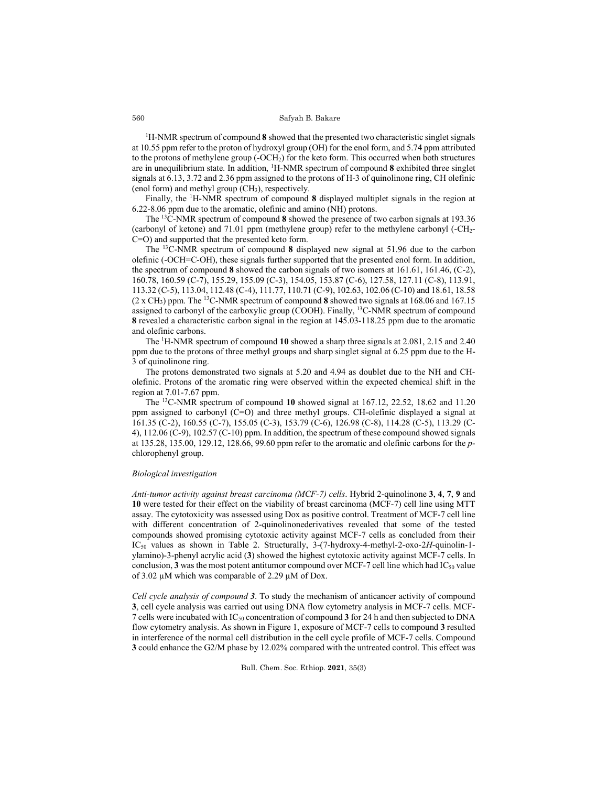<sup>1</sup>H-NMR spectrum of compound 8 showed that the presented two characteristic singlet signals at 10.55 ppm refer to the proton of hydroxyl group (OH) for the enol form, and 5.74 ppm attributed to the protons of methylene group (-OCH<sub>2</sub>) for the keto form. This occurred when both structures are in unequilibrium state. In addition, 1 H-NMR spectrum of compound **8** exhibited three singlet signals at 6.13, 3.72 and 2.36 ppm assigned to the protons of H-3 of quinolinone ring, CH olefinic (enol form) and methyl group  $(CH<sub>3</sub>)$ , respectively.

Finally, the 1 H-NMR spectrum of compound **8** displayed multiplet signals in the region at 6.22-8.06 ppm due to the aromatic, olefinic and amino (NH) protons.

The 13C-NMR spectrum of compound **8** showed the presence of two carbon signals at 193.36 (carbonyl of ketone) and 71.01 ppm (methylene group) refer to the methylene carbonyl (-CH2- C=O) and supported that the presented keto form.

The 13C-NMR spectrum of compound **8** displayed new signal at 51.96 due to the carbon olefinic (-OCH=C-OH), these signals further supported that the presented enol form. In addition, the spectrum of compound **8** showed the carbon signals of two isomers at 161.61, 161.46, (C-2), 160.78, 160.59 (C-7), 155.29, 155.09 (C-3), 154.05, 153.87 (C-6), 127.58, 127.11 (C-8), 113.91, 113.32 (C-5), 113.04, 112.48 (C-4), 111.77, 110.71 (C-9), 102.63, 102.06 (C-10) and 18.61, 18.58 (2 x CH3) ppm. The 13C-NMR spectrum of compound **8** showed two signals at 168.06 and 167.15 assigned to carbonyl of the carboxylic group (COOH). Finally, <sup>13</sup>C-NMR spectrum of compound **8** revealed a characteristic carbon signal in the region at 145.03-118.25 ppm due to the aromatic and olefinic carbons.

The 1 H-NMR spectrum of compound **10** showed a sharp three signals at 2.081, 2.15 and 2.40 ppm due to the protons of three methyl groups and sharp singlet signal at 6.25 ppm due to the H-3 of quinolinone ring.

The protons demonstrated two signals at 5.20 and 4.94 as doublet due to the NH and CHolefinic. Protons of the aromatic ring were observed within the expected chemical shift in the region at 7.01-7.67 ppm.

The 13C-NMR spectrum of compound **10** showed signal at 167.12, 22.52, 18.62 and 11.20 ppm assigned to carbonyl (C=O) and three methyl groups. CH-olefinic displayed a signal at 161.35 (C-2), 160.55 (C-7), 155.05 (C-3), 153.79 (C-6), 126.98 (C-8), 114.28 (C-5), 113.29 (C-4), 112.06 (C-9), 102.57 (C-10) ppm. In addition, the spectrum of these compound showed signals at 135.28, 135.00, 129.12, 128.66, 99.60 ppm refer to the aromatic and olefinic carbons for the *p*chlorophenyl group.

#### *Biological investigation*

*Anti-tumor activity against breast carcinoma (MCF-7) cells*. Hybrid 2-quinolinone **3**, **4**, **7**, **9** and **10** were tested for their effect on the viability of breast carcinoma (MCF-7) cell line using MTT assay. The cytotoxicity was assessed using Dox as positive control. Treatment of MCF-7 cell line with different concentration of 2-quinolinonederivatives revealed that some of the tested compounds showed promising cytotoxic activity against MCF-7 cells as concluded from their IC50 values as shown in Table 2. Structurally, 3-(7-hydroxy-4-methyl-2-oxo-2*H*-quinolin-1 ylamino)-3-phenyl acrylic acid (**3**) showed the highest cytotoxic activity against MCF-7 cells. In conclusion,  $3$  was the most potent antitumor compound over MCF-7 cell line which had  $IC_{50}$  value of 3.02 µM which was comparable of 2.29 µM of Dox.

*Cell cycle analysis of compound 3*. To study the mechanism of anticancer activity of compound **3**, cell cycle analysis was carried out using DNA flow cytometry analysis in MCF-7 cells. MCF-7 cells were incubated with IC50 concentration of compound **3** for 24 h and then subjected to DNA flow cytometry analysis. As shown in Figure 1, exposure of MCF-7 cells to compound **3** resulted in interference of the normal cell distribution in the cell cycle profile of MCF-7 cells. Compound **3** could enhance the G2/M phase by 12.02% compared with the untreated control. This effect was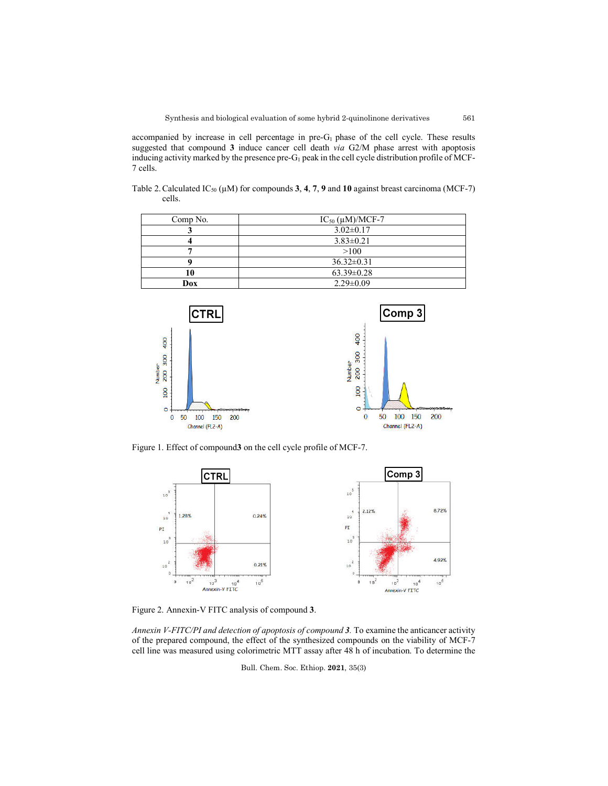accompanied by increase in cell percentage in pre- $G<sub>1</sub>$  phase of the cell cycle. These results suggested that compound **3** induce cancer cell death *via* G2/M phase arrest with apoptosis inducing activity marked by the presence pre-G<sub>1</sub> peak in the cell cycle distribution profile of MCF-7 cells.

Table 2. Calculated  $IC_{50}$  ( $\mu$ M) for compounds 3, 4, 7, 9 and 10 against breast carcinoma (MCF-7) cells.

| Comp No. | $IC_{50}$ ( $\mu$ M)/MCF-7 |  |  |
|----------|----------------------------|--|--|
|          | $3.02 \pm 0.17$            |  |  |
|          | $3.83 \pm 0.21$            |  |  |
|          | >100                       |  |  |
|          | $36.32 \pm 0.31$           |  |  |
|          | $63.39 \pm 0.28$           |  |  |
| Dox      | $2.29 \pm 0.09$            |  |  |



Figure 1. Effect of compound**3** on the cell cycle profile of MCF-7.



Figure 2. Annexin-V FITC analysis of compound **3**.

*Annexin V-FITC/PI and detection of apoptosis of compound 3.* To examine the anticancer activity of the prepared compound, the effect of the synthesized compounds on the viability of MCF-7 cell line was measured using colorimetric MTT assay after 48 h of incubation. To determine the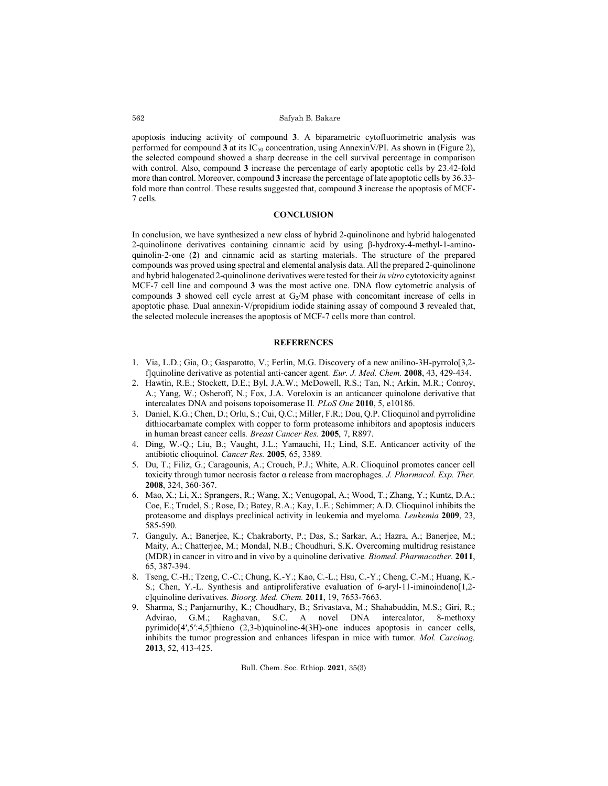apoptosis inducing activity of compound **3**. A biparametric cytofluorimetric analysis was performed for compound 3 at its IC<sub>50</sub> concentration, using AnnexinV/PI. As shown in (Figure 2), the selected compound showed a sharp decrease in the cell survival percentage in comparison with control. Also, compound **3** increase the percentage of early apoptotic cells by 23.42-fold more than control. Moreover, compound **3** increase the percentage of late apoptotic cells by 36.33 fold more than control. These results suggested that, compound **3** increase the apoptosis of MCF-7 cells.

### **CONCLUSION**

In conclusion, we have synthesized a new class of hybrid 2-quinolinone and hybrid halogenated 2-quinolinone derivatives containing cinnamic acid by using β-hydroxy-4-methyl-1-aminoquinolin-2-one (**2**) and cinnamic acid as starting materials. The structure of the prepared compounds was proved using spectral and elemental analysis data. All the prepared 2-quinolinone and hybrid halogenated 2-quinolinone derivatives were tested for their *in vitro* cytotoxicity against MCF-7 cell line and compound **3** was the most active one. DNA flow cytometric analysis of compounds **3** showed cell cycle arrest at G<sub>2</sub>/M phase with concomitant increase of cells in apoptotic phase. Dual annexin-V/propidium iodide staining assay of compound **3** revealed that, the selected molecule increases the apoptosis of MCF-7 cells more than control.

### **REFERENCES**

- 1. Via, L.D.; Gia, O.; Gasparotto, V.; Ferlin, M.G. Discovery of a new anilino-3H-pyrrolo[3,2 f]quinoline derivative as potential anti-cancer agent*. Eur. J. Med. Chem.* **2008**, 43, 429-434.
- 2. Hawtin, R.E.; Stockett, D.E.; Byl, J.A.W.; McDowell, R.S.; Tan, N.; Arkin, M.R.; Conroy, A.; Yang, W.; Osheroff, N.; Fox, J.A. Voreloxin is an anticancer quinolone derivative that intercalates DNA and poisons topoisomerase II*. PLoS One* **2010**, 5, e10186.
- 3. Daniel, K.G.; Chen, D.; Orlu, S.; Cui, Q.C.; Miller, F.R.; Dou, Q.P. Clioquinol and pyrrolidine dithiocarbamate complex with copper to form proteasome inhibitors and apoptosis inducers in human breast cancer cells*. Breast Cancer Res.* **2005**, 7, R897.
- 4. Ding, W.-Q.; Liu, B.; Vaught, J.L.; Yamauchi, H.; Lind, S.E. Anticancer activity of the antibiotic clioquinol*. Cancer Res.* **2005**, 65, 3389.
- 5. Du, T.; Filiz, G.; Caragounis, A.; Crouch, P.J.; White, A.R. Clioquinol promotes cancer cell toxicity through tumor necrosis factor α release from macrophages*. J. Pharmacol. Exp. Ther.*  **2008**, 324, 360-367.
- 6. Mao, X.; Li, X.; Sprangers, R.; Wang, X.; Venugopal, A.; Wood, T.; Zhang, Y.; Kuntz, D.A.; Coe, E.; Trudel, S.; Rose, D.; Batey, R.A.; Kay, L.E.; Schimmer; A.D. Clioquinol inhibits the proteasome and displays preclinical activity in leukemia and myeloma*. Leukemia* **2009**, 23, 585-590.
- 7. Ganguly, A.; Banerjee, K.; Chakraborty, P.; Das, S.; Sarkar, A.; Hazra, A.; Banerjee, M.; Maity, A.; Chatterjee, M.; Mondal, N.B.; Choudhuri, S.K. Overcoming multidrug resistance (MDR) in cancer in vitro and in vivo by a quinoline derivative*. Biomed. Pharmacother.* **2011**, 65, 387-394.
- 8. Tseng, C.-H.; Tzeng, C.-C.; Chung, K.-Y.; Kao, C.-L.; Hsu, C.-Y.; Cheng, C.-M.; Huang, K.- S.; Chen, Y.-L. Synthesis and antiproliferative evaluation of 6-aryl-11-iminoindeno[1,2 c]quinoline derivatives*. Bioorg. Med. Chem.* **2011**, 19, 7653-7663.
- 9. Sharma, S.; Panjamurthy, K.; Choudhary, B.; Srivastava, M.; Shahabuddin, M.S.; Giri, R.; Advirao, G.M.; Raghavan, S.C. A novel DNA intercalator, 8-methoxy pyrimido[4′,5′:4,5]thieno (2,3-b)quinoline-4(3H)-one induces apoptosis in cancer cells, inhibits the tumor progression and enhances lifespan in mice with tumor*. Mol. Carcinog.*  **2013**, 52, 413-425.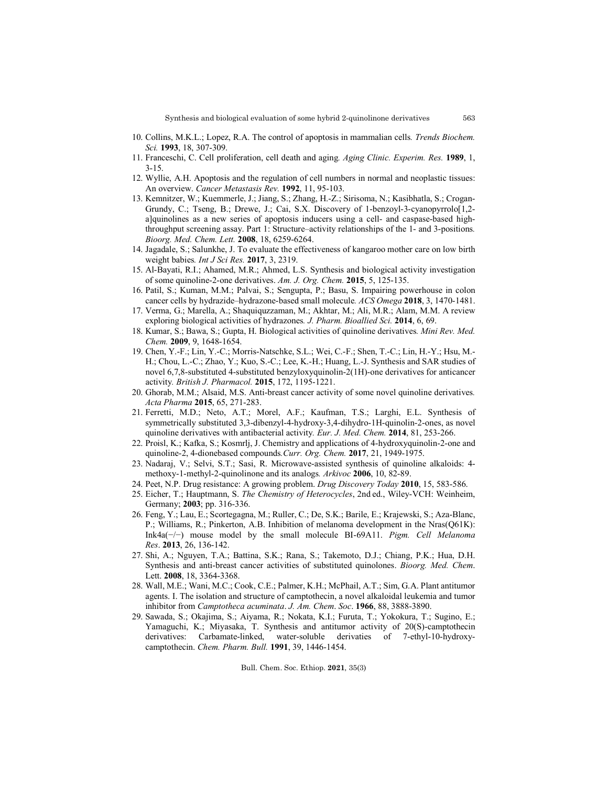- 10. Collins, M.K.L.; Lopez, R.A. The control of apoptosis in mammalian cells*. Trends Biochem. Sci.* **1993**, 18, 307-309.
- 11. Franceschi, C. Cell proliferation, cell death and aging*. Aging Clinic. Experim. Res.* **1989**, 1, 3-15.
- 12. Wyllie, A.H. Apoptosis and the regulation of cell numbers in normal and neoplastic tissues: An overview. *Cancer Metastasis Rev.* **1992**, 11, 95-103.
- 13. Kemnitzer, W.; Kuemmerle, J.; Jiang, S.; Zhang, H.-Z.; Sirisoma, N.; Kasibhatla, S.; Crogan-Grundy, C.; Tseng, B.; Drewe, J.; Cai, S.X. Discovery of 1-benzoyl-3-cyanopyrrolo[1,2 a]quinolines as a new series of apoptosis inducers using a cell- and caspase-based highthroughput screening assay. Part 1: Structure–activity relationships of the 1- and 3-positions*. Bioorg. Med. Chem. Lett.* **2008**, 18, 6259-6264.
- 14. Jagadale, S.; Salunkhe, J. To evaluate the effectiveness of kangaroo mother care on low birth weight babies*. Int J Sci Res.* **2017**, 3, 2319.
- 15. Al-Bayati, R.I.; Ahamed, M.R.; Ahmed, L.S. Synthesis and biological activity investigation of some quinoline-2-one derivatives. *Am. J. Org. Chem.* **2015**, 5, 125-135.
- 16. Patil, S.; Kuman, M.M.; Palvai, S.; Sengupta, P.; Basu, S. Impairing powerhouse in colon cancer cells by hydrazide–hydrazone-based small molecule*. ACS Omega* **2018**, 3, 1470-1481.
- 17. Verma, G.; Marella, A.; Shaquiquzzaman, M.; Akhtar, M.; Ali, M.R.; Alam, M.M. A review exploring biological activities of hydrazones*. J. Pharm. Bioallied Sci.* **2014**, 6, 69.
- 18. Kumar, S.; Bawa, S.; Gupta, H. Biological activities of quinoline derivatives*. Mini Rev. Med. Chem.* **2009**, 9, 1648-1654.
- 19. Chen, Y.-F.; Lin, Y.-C.; Morris-Natschke, S.L.; Wei, C.-F.; Shen, T.-C.; Lin, H.-Y.; Hsu, M.- H.; Chou, L.-C.; Zhao, Y.; Kuo, S.-C.; Lee, K.-H.; Huang, L.-J. Synthesis and SAR studies of novel 6,7,8-substituted 4-substituted benzyloxyquinolin-2(1H)-one derivatives for anticancer activity*. British J. Pharmacol.* **2015**, 172, 1195-1221.
- 20. Ghorab, M.M.; Alsaid, M.S. Anti-breast cancer activity of some novel quinoline derivatives*. Acta Pharma* **2015**, 65, 271-283.
- 21. Ferretti, M.D.; Neto, A.T.; Morel, A.F.; Kaufman, T.S.; Larghi, E.L. Synthesis of symmetrically substituted 3,3-dibenzyl-4-hydroxy-3,4-dihydro-1H-quinolin-2-ones, as novel quinoline derivatives with antibacterial activity*. Eur. J. Med. Chem.* **2014**, 81, 253-266.
- 22. Proisl, K.; Kafka, S.; Kosmrlj, J. Chemistry and applications of 4-hydroxyquinolin-2-one and quinoline-2, 4-dionebased compounds*.Curr. Org. Chem.* **2017**, 21, 1949-1975.
- 23. Nadaraj, V.; Selvi, S.T.; Sasi, R. Microwave-assisted synthesis of quinoline alkaloids: 4 methoxy-1-methyl-2-quinolinone and its analogs*. Arkivoc* **2006**, 10, 82-89.
- 24. Peet, N.P. Drug resistance: A growing problem. *Drug Discovery Today* **2010**, 15, 583-586.
- 25. Eicher, T.; Hauptmann, S. *The Chemistry of Heterocycles*, 2nd ed., Wiley-VCH: Weinheim, Germany; **2003**; pp. 316-336.
- 26. Feng, Y.; Lau, E.; Scortegagna, M.; Ruller, C.; De, S.K.; Barile, E.; Krajewski, S.; Aza-Blanc, P.; Williams, R.; Pinkerton, A.B. Inhibition of melanoma development in the Nras(Q61K): Ink4a(−/−) mouse model by the small molecule BI-69A11. *Pigm. Cell Melanoma Res*. **2013**, 26, 136-142.
- 27. Shi, A.; Nguyen, T.A.; Battina, S.K.; Rana, S.; Takemoto, D.J.; Chiang, P.K.; Hua, D.H. Synthesis and anti-breast cancer activities of substituted quinolones. *Bioorg. Med. Chem*. Lett. **2008**, 18, 3364-3368.
- 28. Wall, M.E.; Wani, M.C.; Cook, C.E.; Palmer, K.H.; McPhail, A.T.; Sim, G.A. Plant antitumor agents. I. The isolation and structure of camptothecin, a novel alkaloidal leukemia and tumor inhibitor from *Camptotheca acuminata*. *J. Am. Chem*. *Soc*. **1966**, 88, 3888-3890.
- 29. Sawada, S.; Okajima, S.; Aiyama, R.; Nokata, K.I.; Furuta, T.; Yokokura, T.; Sugino, E.; Yamaguchi, K.; Miyasaka, T. Synthesis and antitumor activity of 20(S)-camptothecin derivatives: Carbamate-linked, water-soluble derivaties of 7-ethyl-10-hydroxycamptothecin. *Chem. Pharm. Bull.* **1991**, 39, 1446-1454.